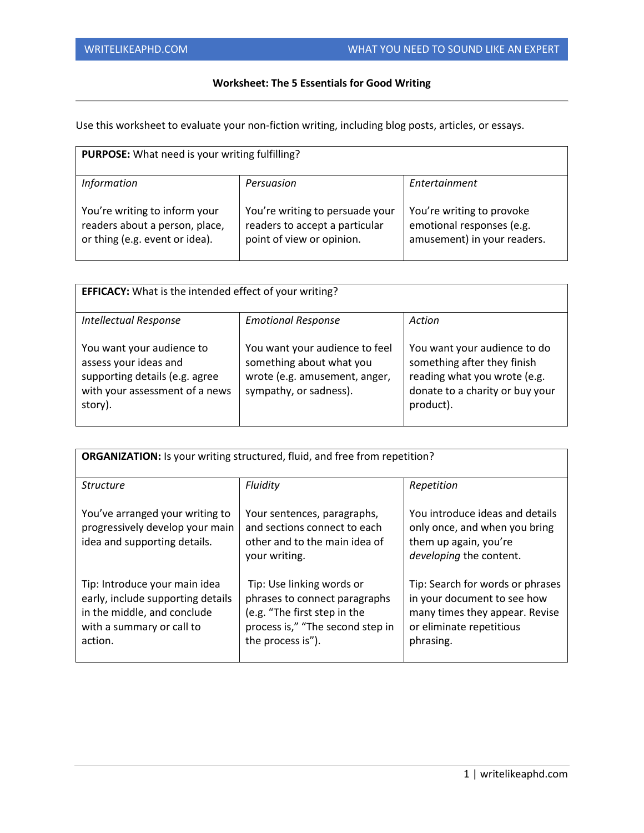## **Worksheet: The 5 Essentials for Good Writing**

Use this worksheet to evaluate your non-fiction writing, including blog posts, articles, or essays.

| PURPOSE: What need is your writing fulfilling?                                                    |                                                                                                |                                                                                       |  |
|---------------------------------------------------------------------------------------------------|------------------------------------------------------------------------------------------------|---------------------------------------------------------------------------------------|--|
| <b>Information</b>                                                                                | Persuasion                                                                                     | Entertainment                                                                         |  |
| You're writing to inform your<br>readers about a person, place,<br>or thing (e.g. event or idea). | You're writing to persuade your<br>readers to accept a particular<br>point of view or opinion. | You're writing to provoke<br>emotional responses (e.g.<br>amusement) in your readers. |  |

| <b>EFFICACY:</b> What is the intended effect of your writing?                                                                     |                                                                                                                       |                                                                                                                                             |  |  |
|-----------------------------------------------------------------------------------------------------------------------------------|-----------------------------------------------------------------------------------------------------------------------|---------------------------------------------------------------------------------------------------------------------------------------------|--|--|
|                                                                                                                                   |                                                                                                                       |                                                                                                                                             |  |  |
| <b>Intellectual Response</b>                                                                                                      | <b>Emotional Response</b>                                                                                             | Action                                                                                                                                      |  |  |
| You want your audience to<br>assess your ideas and<br>supporting details (e.g. agree<br>with your assessment of a news<br>story). | You want your audience to feel<br>something about what you<br>wrote (e.g. amusement, anger,<br>sympathy, or sadness). | You want your audience to do<br>something after they finish<br>reading what you wrote (e.g.<br>donate to a charity or buy your<br>product). |  |  |

| <b>ORGANIZATION:</b> Is your writing structured, fluid, and free from repetition?                                                         |                                                                                                                                                     |                                                                                                                                            |  |
|-------------------------------------------------------------------------------------------------------------------------------------------|-----------------------------------------------------------------------------------------------------------------------------------------------------|--------------------------------------------------------------------------------------------------------------------------------------------|--|
| <b>Structure</b>                                                                                                                          | Fluidity                                                                                                                                            | Repetition                                                                                                                                 |  |
| You've arranged your writing to<br>progressively develop your main<br>idea and supporting details.                                        | Your sentences, paragraphs,<br>and sections connect to each<br>other and to the main idea of<br>your writing.                                       | You introduce ideas and details<br>only once, and when you bring<br>them up again, you're<br>developing the content.                       |  |
| Tip: Introduce your main idea<br>early, include supporting details<br>in the middle, and conclude<br>with a summary or call to<br>action. | Tip: Use linking words or<br>phrases to connect paragraphs<br>(e.g. "The first step in the<br>process is," "The second step in<br>the process is"). | Tip: Search for words or phrases<br>in your document to see how<br>many times they appear. Revise<br>or eliminate repetitious<br>phrasing. |  |